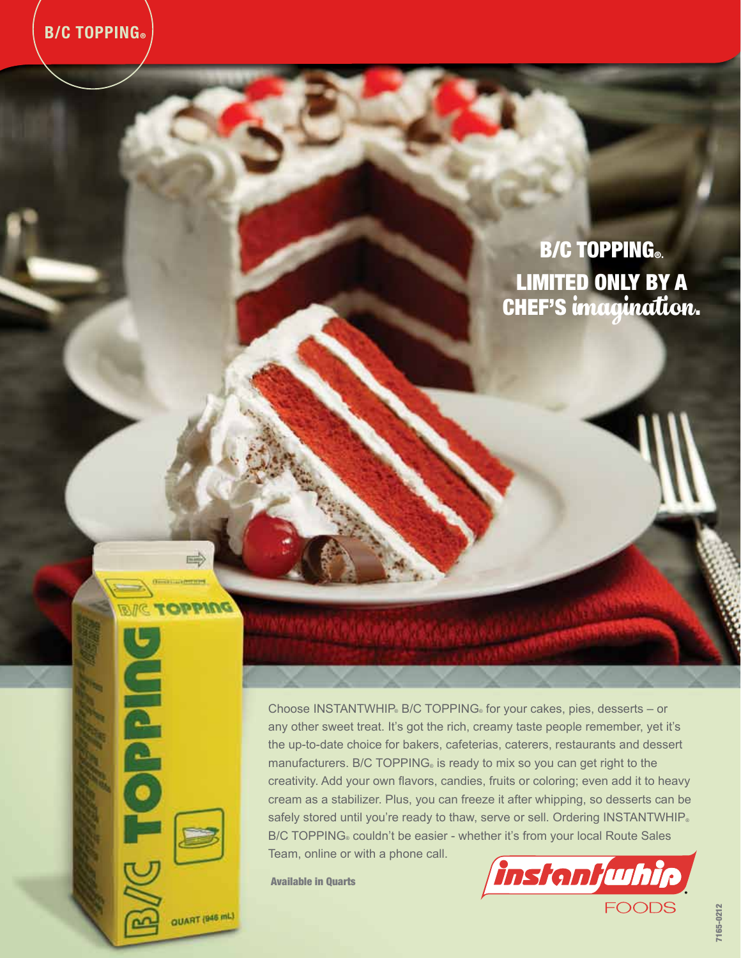## **B/C TOPPING®.** Limited only by a **CHEF'S imagination.**

Choose INSTANTWHIP® B/C TOPPING® for your cakes, pies, desserts - or any other sweet treat. It's got the rich, creamy taste people remember, yet it's the up-to-date choice for bakers, cafeterias, caterers, restaurants and dessert manufacturers. B/C TOPPING® is ready to mix so you can get right to the creativity. Add your own flavors, candies, fruits or coloring; even add it to heavy cream as a stabilizer. Plus, you can freeze it after whipping, so desserts can be safely stored until you're ready to thaw, serve or sell. Ordering INSTANTWHIP® B/C TOPPING® couldn't be easier - whether it's from your local Route Sales Team, online or with a phone call.

Available in Quarts



QUART (946 mL)

**MAJO LONG** 

**Sepha** 

ഹ